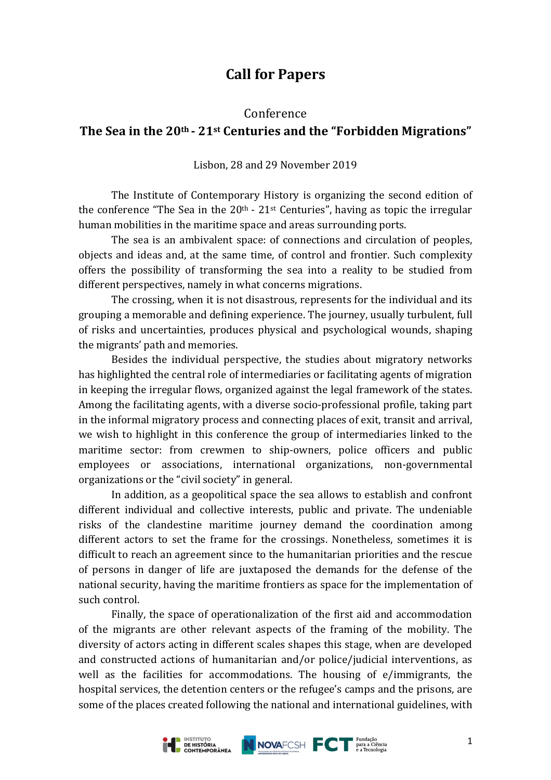# **Call for Papers**

#### Conference

## **The Sea in the 20th - 21st Centuries and the "Forbidden Migrations"**

Lisbon, 28 and 29 November 2019

The Institute of Contemporary History is organizing the second edition of the conference "The Sea in the  $20<sup>th</sup>$  -  $21<sup>st</sup>$  Centuries", having as topic the irregular human mobilities in the maritime space and areas surrounding ports.

The sea is an ambivalent space: of connections and circulation of peoples, objects and ideas and, at the same time, of control and frontier. Such complexity offers the possibility of transforming the sea into a reality to be studied from different perspectives, namely in what concerns migrations.

The crossing, when it is not disastrous, represents for the individual and its grouping a memorable and defining experience. The journey, usually turbulent, full of risks and uncertainties, produces physical and psychological wounds, shaping the migrants' path and memories.

Besides the individual perspective, the studies about migratory networks has highlighted the central role of intermediaries or facilitating agents of migration in keeping the irregular flows, organized against the legal framework of the states. Among the facilitating agents, with a diverse socio-professional profile, taking part in the informal migratory process and connecting places of exit, transit and arrival, we wish to highlight in this conference the group of intermediaries linked to the maritime sector: from crewmen to ship-owners, police officers and public employees or associations, international organizations, non-governmental organizations or the "civil society" in general.

In addition, as a geopolitical space the sea allows to establish and confront different individual and collective interests, public and private. The undeniable risks of the clandestine maritime journey demand the coordination among different actors to set the frame for the crossings. Nonetheless, sometimes it is difficult to reach an agreement since to the humanitarian priorities and the rescue of persons in danger of life are juxtaposed the demands for the defense of the national security, having the maritime frontiers as space for the implementation of such control.

Finally, the space of operationalization of the first aid and accommodation of the migrants are other relevant aspects of the framing of the mobility. The diversity of actors acting in different scales shapes this stage, when are developed and constructed actions of humanitarian and/or police/judicial interventions, as well as the facilities for accommodations. The housing of e/immigrants, the hospital services, the detention centers or the refugee's camps and the prisons, are some of the places created following the national and international guidelines, with

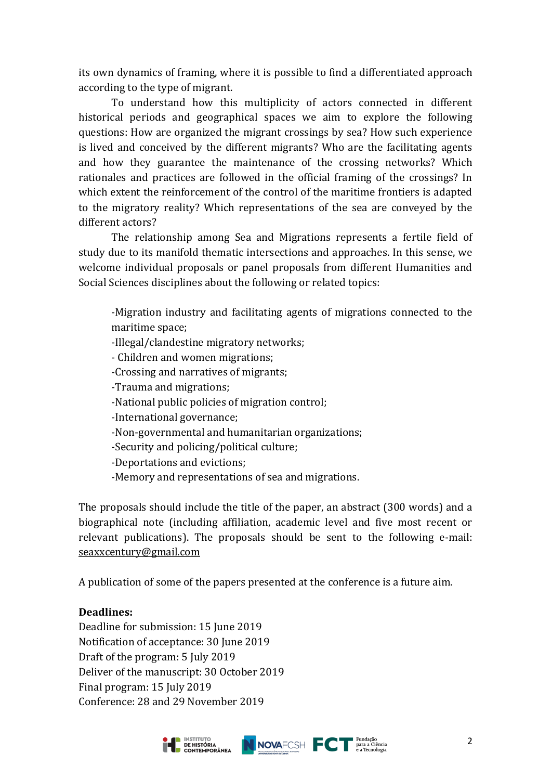its own dynamics of framing, where it is possible to find a differentiated approach according to the type of migrant.

To understand how this multiplicity of actors connected in different historical periods and geographical spaces we aim to explore the following questions: How are organized the migrant crossings by sea? How such experience is lived and conceived by the different migrants? Who are the facilitating agents and how they guarantee the maintenance of the crossing networks? Which rationales and practices are followed in the official framing of the crossings? In which extent the reinforcement of the control of the maritime frontiers is adapted to the migratory reality? Which representations of the sea are conveyed by the different actors?

The relationship among Sea and Migrations represents a fertile field of study due to its manifold thematic intersections and approaches. In this sense, we welcome individual proposals or panel proposals from different Humanities and Social Sciences disciplines about the following or related topics:

-Migration industry and facilitating agents of migrations connected to the maritime space;

- -Illegal/clandestine migratory networks;
- Children and women migrations;
- -Crossing and narratives of migrants;
- -Trauma and migrations;
- -National public policies of migration control;
- -International governance;
- -Non-governmental and humanitarian organizations;
- -Security and policing/political culture;
- -Deportations and evictions;
- -Memory and representations of sea and migrations.

The proposals should include the title of the paper, an abstract (300 words) and a biographical note (including affiliation, academic level and five most recent or relevant publications). The proposals should be sent to the following e-mail: seaxxcentury@gmail.com

A publication of some of the papers presented at the conference is a future aim.

#### Deadlines:

Deadline for submission: 15 June 2019 Notification of acceptance: 30 June 2019 Draft of the program: 5 July 2019 Deliver of the manuscript: 30 October 2019 Final program: 15 July 2019 Conference: 28 and 29 November 2019